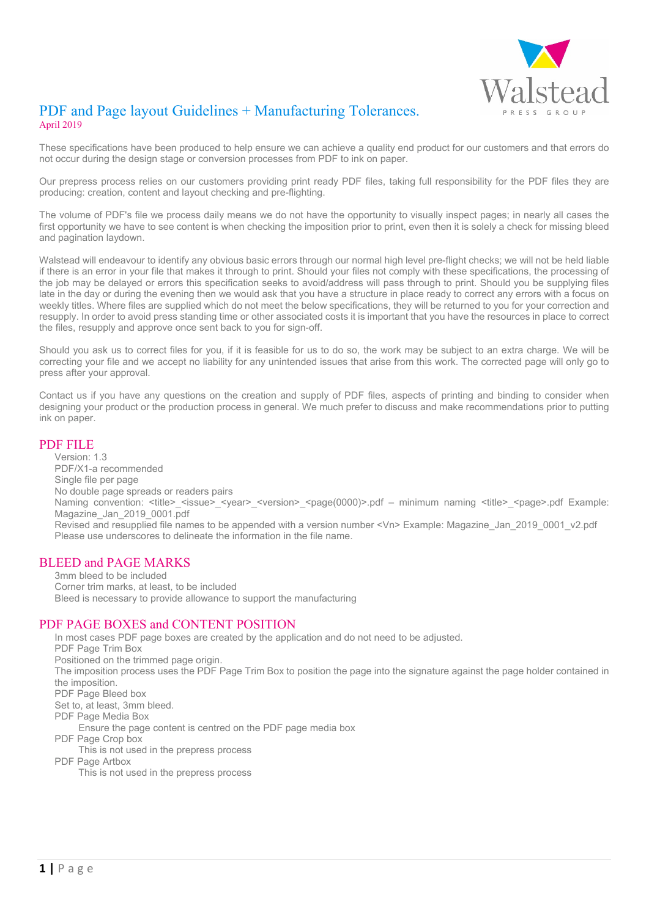

# PDF and Page layout Guidelines + Manufacturing Tolerances. April 2019

These specifications have been produced to help ensure we can achieve a quality end product for our customers and that errors do not occur during the design stage or conversion processes from PDF to ink on paper.

Our prepress process relies on our customers providing print ready PDF files, taking full responsibility for the PDF files they are producing: creation, content and layout checking and pre-flighting.

The volume of PDF's file we process daily means we do not have the opportunity to visually inspect pages; in nearly all cases the first opportunity we have to see content is when checking the imposition prior to print, even then it is solely a check for missing bleed and pagination laydown.

Walstead will endeavour to identify any obvious basic errors through our normal high level pre-flight checks; we will not be held liable if there is an error in your file that makes it through to print. Should your files not comply with these specifications, the processing of the job may be delayed or errors this specification seeks to avoid/address will pass through to print. Should you be supplying files late in the day or during the evening then we would ask that you have a structure in place ready to correct any errors with a focus on weekly titles. Where files are supplied which do not meet the below specifications, they will be returned to you for your correction and resupply. In order to avoid press standing time or other associated costs it is important that you have the resources in place to correct the files, resupply and approve once sent back to you for sign-off.

Should you ask us to correct files for you, if it is feasible for us to do so, the work may be subject to an extra charge. We will be correcting your file and we accept no liability for any unintended issues that arise from this work. The corrected page will only go to press after your approval.

Contact us if you have any questions on the creation and supply of PDF files, aspects of printing and binding to consider when designing your product or the production process in general. We much prefer to discuss and make recommendations prior to putting ink on paper.

### PDF FILE

Version: 1.3 PDF/X1-a recommended Single file per page No double page spreads or readers pairs Naming convention: <title>\_<issue>\_<year>\_<version>\_<page(0000)>.pdf – minimum naming <title>\_<page>.pdf Example: Magazine\_Jan\_2019\_0001.pdf Revised and resupplied file names to be appended with a version number <Vn> Example: Magazine\_Jan\_2019\_0001\_v2.pdf Please use underscores to delineate the information in the file name.

### BLEED and PAGE MARKS

3mm bleed to be included Corner trim marks, at least, to be included Bleed is necessary to provide allowance to support the manufacturing

### PDF PAGE BOXES and CONTENT POSITION

In most cases PDF page boxes are created by the application and do not need to be adjusted. PDF Page Trim Box Positioned on the trimmed page origin. The imposition process uses the PDF Page Trim Box to position the page into the signature against the page holder contained in the imposition. PDF Page Bleed box Set to, at least, 3mm bleed. PDF Page Media Box Ensure the page content is centred on the PDF page media box PDF Page Crop box This is not used in the prepress process PDF Page Artbox

This is not used in the prepress process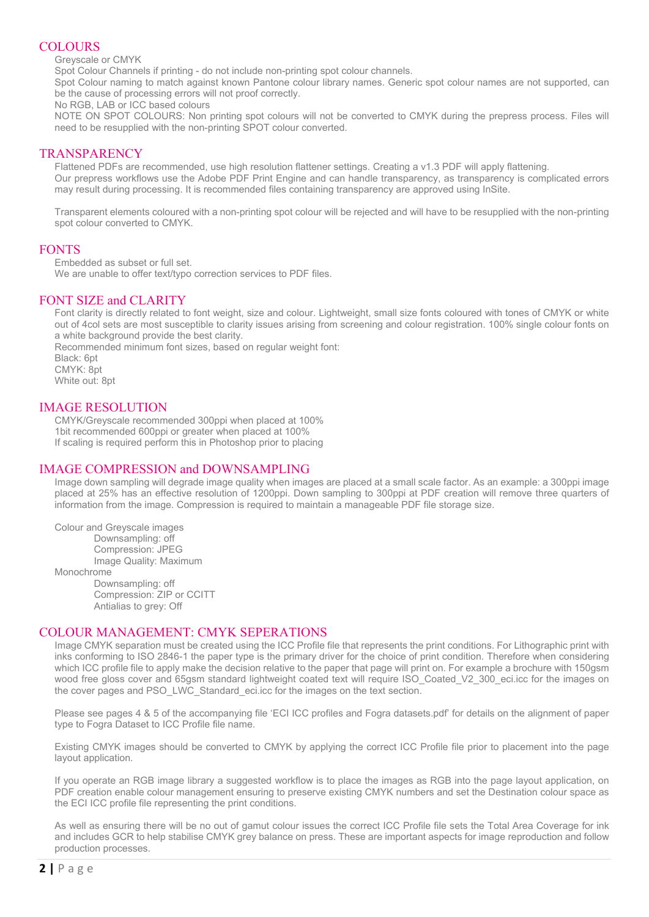# **COLOURS**

Greyscale or CMYK

Spot Colour Channels if printing - do not include non-printing spot colour channels.

Spot Colour naming to match against known Pantone colour library names. Generic spot colour names are not supported, can be the cause of processing errors will not proof correctly.

No RGB, LAB or ICC based colours

NOTE ON SPOT COLOURS: Non printing spot colours will not be converted to CMYK during the prepress process. Files will need to be resupplied with the non-printing SPOT colour converted.

# **TRANSPARENCY**

Flattened PDFs are recommended, use high resolution flattener settings. Creating a v1.3 PDF will apply flattening. Our prepress workflows use the Adobe PDF Print Engine and can handle transparency, as transparency is complicated errors may result during processing. It is recommended files containing transparency are approved using InSite.

Transparent elements coloured with a non-printing spot colour will be rejected and will have to be resupplied with the non-printing spot colour converted to CMYK.

## FONTS

Embedded as subset or full set.

We are unable to offer text/typo correction services to PDF files.

## FONT SIZE and CLARITY

Font clarity is directly related to font weight, size and colour. Lightweight, small size fonts coloured with tones of CMYK or white out of 4col sets are most susceptible to clarity issues arising from screening and colour registration. 100% single colour fonts on a white background provide the best clarity.

Recommended minimum font sizes, based on regular weight font:

Black: 6pt CMYK: 8pt White out: 8pt

## IMAGE RESOLUTION

CMYK/Greyscale recommended 300ppi when placed at 100% 1bit recommended 600ppi or greater when placed at 100% If scaling is required perform this in Photoshop prior to placing

### IMAGE COMPRESSION and DOWNSAMPLING

Image down sampling will degrade image quality when images are placed at a small scale factor. As an example: a 300ppi image placed at 25% has an effective resolution of 1200ppi. Down sampling to 300ppi at PDF creation will remove three quarters of information from the image. Compression is required to maintain a manageable PDF file storage size.

Colour and Greyscale images

Downsampling: off Compression: JPEG Image Quality: Maximum

Monochrome

Downsampling: off Compression: ZIP or CCITT Antialias to grey: Off

### COLOUR MANAGEMENT: CMYK SEPERATIONS

Image CMYK separation must be created using the ICC Profile file that represents the print conditions. For Lithographic print with inks conforming to ISO 2846-1 the paper type is the primary driver for the choice of print condition. Therefore when considering which ICC profile file to apply make the decision relative to the paper that page will print on. For example a brochure with 150gsm wood free gloss cover and 65gsm standard lightweight coated text will require ISO\_Coated\_V2\_300\_eci.icc for the images on the cover pages and PSO\_LWC\_Standard\_eci.icc for the images on the text section.

Please see pages 4 & 5 of the accompanying file 'ECI ICC profiles and Fogra datasets.pdf' for details on the alignment of paper type to Fogra Dataset to ICC Profile file name.

Existing CMYK images should be converted to CMYK by applying the correct ICC Profile file prior to placement into the page layout application.

If you operate an RGB image library a suggested workflow is to place the images as RGB into the page layout application, on PDF creation enable colour management ensuring to preserve existing CMYK numbers and set the Destination colour space as the ECI ICC profile file representing the print conditions.

As well as ensuring there will be no out of gamut colour issues the correct ICC Profile file sets the Total Area Coverage for ink and includes GCR to help stabilise CMYK grey balance on press. These are important aspects for image reproduction and follow production processes.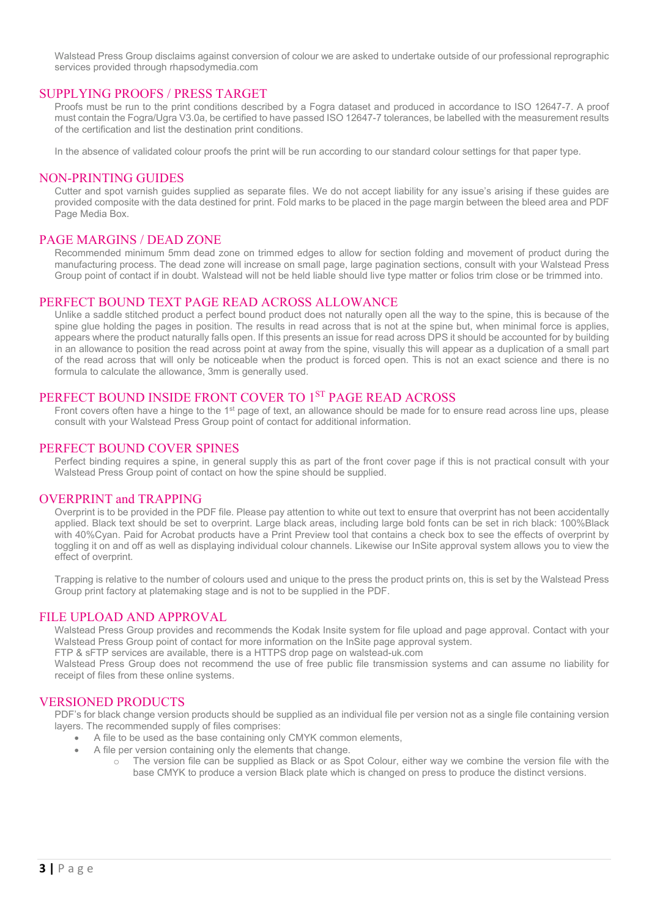Walstead Press Group disclaims against conversion of colour we are asked to undertake outside of our professional reprographic services provided through rhapsodymedia.com

### SUPPLYING PROOFS / PRESS TARGET

Proofs must be run to the print conditions described by a Fogra dataset and produced in accordance to ISO 12647-7. A proof must contain the Fogra/Ugra V3.0a, be certified to have passed ISO 12647-7 tolerances, be labelled with the measurement results of the certification and list the destination print conditions.

In the absence of validated colour proofs the print will be run according to our standard colour settings for that paper type.

#### NON-PRINTING GUIDES

Cutter and spot varnish guides supplied as separate files. We do not accept liability for any issue's arising if these guides are provided composite with the data destined for print. Fold marks to be placed in the page margin between the bleed area and PDF Page Media Box.

### PAGE MARGINS / DEAD ZONE

Recommended minimum 5mm dead zone on trimmed edges to allow for section folding and movement of product during the manufacturing process. The dead zone will increase on small page, large pagination sections, consult with your Walstead Press Group point of contact if in doubt. Walstead will not be held liable should live type matter or folios trim close or be trimmed into.

#### PERFECT BOUND TEXT PAGE READ ACROSS ALLOWANCE

Unlike a saddle stitched product a perfect bound product does not naturally open all the way to the spine, this is because of the spine glue holding the pages in position. The results in read across that is not at the spine but, when minimal force is applies, appears where the product naturally falls open. If this presents an issue for read across DPS it should be accounted for by building in an allowance to position the read across point at away from the spine, visually this will appear as a duplication of a small part of the read across that will only be noticeable when the product is forced open. This is not an exact science and there is no formula to calculate the allowance, 3mm is generally used.

# PERFECT BOUND INSIDE FRONT COVER TO 1ST PAGE READ ACROSS

Front covers often have a hinge to the 1<sup>st</sup> page of text, an allowance should be made for to ensure read across line ups, please consult with your Walstead Press Group point of contact for additional information.

# PERFECT BOUND COVER SPINES

Perfect binding requires a spine, in general supply this as part of the front cover page if this is not practical consult with your Walstead Press Group point of contact on how the spine should be supplied.

### OVERPRINT and TRAPPING

Overprint is to be provided in the PDF file. Please pay attention to white out text to ensure that overprint has not been accidentally applied. Black text should be set to overprint. Large black areas, including large bold fonts can be set in rich black: 100%Black with 40%Cyan. Paid for Acrobat products have a Print Preview tool that contains a check box to see the effects of overprint by toggling it on and off as well as displaying individual colour channels. Likewise our InSite approval system allows you to view the effect of overprint.

Trapping is relative to the number of colours used and unique to the press the product prints on, this is set by the Walstead Press Group print factory at platemaking stage and is not to be supplied in the PDF.

#### FILE UPLOAD AND APPROVAL

Walstead Press Group provides and recommends the Kodak Insite system for file upload and page approval. Contact with your Walstead Press Group point of contact for more information on the InSite page approval system.

FTP & sFTP services are available, there is a HTTPS drop page on walstead-uk.com

Walstead Press Group does not recommend the use of free public file transmission systems and can assume no liability for receipt of files from these online systems.

#### VERSIONED PRODUCTS

PDF's for black change version products should be supplied as an individual file per version not as a single file containing version layers. The recommended supply of files comprises:

- A file to be used as the base containing only CMYK common elements,
	- A file per version containing only the elements that change.
		- o The version file can be supplied as Black or as Spot Colour, either way we combine the version file with the base CMYK to produce a version Black plate which is changed on press to produce the distinct versions.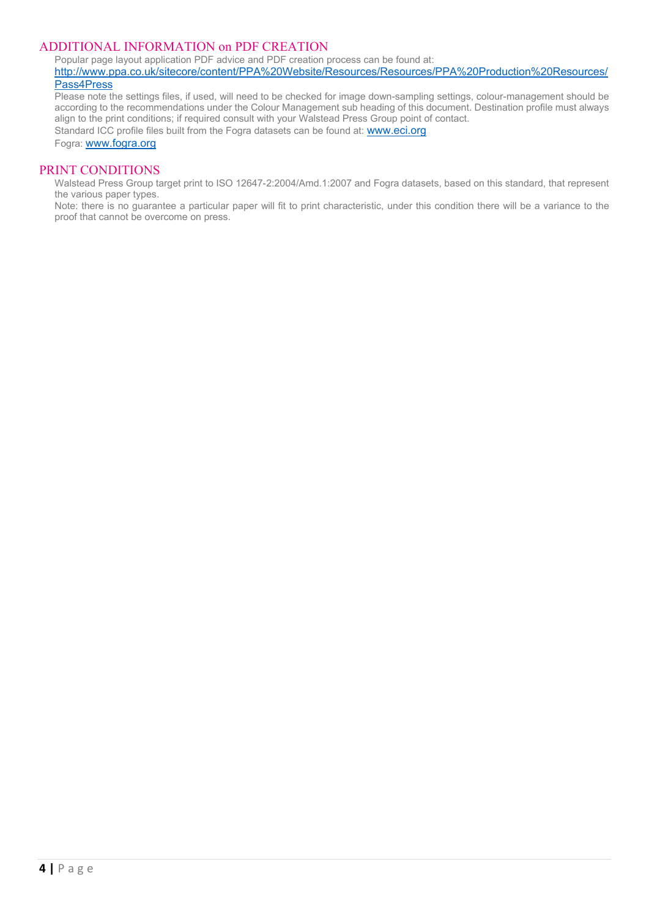### ADDITIONAL INFORMATION on PDF CREATION

Popular page layout application PDF advice and PDF creation process can be found at:

[http://www.ppa.co.uk/sitecore/content/PPA%20Website/Resources/Resources/PPA%20Production%20Resources/](http://www.ppa.co.uk/sitecore/content/PPA%20Website/Resources/Resources/PPA%20Production%20Resources/Pass4Press) [Pass4Press](http://www.ppa.co.uk/sitecore/content/PPA%20Website/Resources/Resources/PPA%20Production%20Resources/Pass4Press)

Please note the settings files, if used, will need to be checked for image down-sampling settings, colour-management should be according to the recommendations under the Colour Management sub heading of this document. Destination profile must always align to the print conditions; if required consult with your Walstead Press Group point of contact. Standard ICC profile files built from the Fogra datasets can be found at: [www.eci.org](http://www.eci.org/)

Fogra[: www.fogra.org](http://www.fogra.org/)

### PRINT CONDITIONS

Walstead Press Group target print to ISO 12647-2:2004/Amd.1:2007 and Fogra datasets, based on this standard, that represent the various paper types.

Note: there is no guarantee a particular paper will fit to print characteristic, under this condition there will be a variance to the proof that cannot be overcome on press.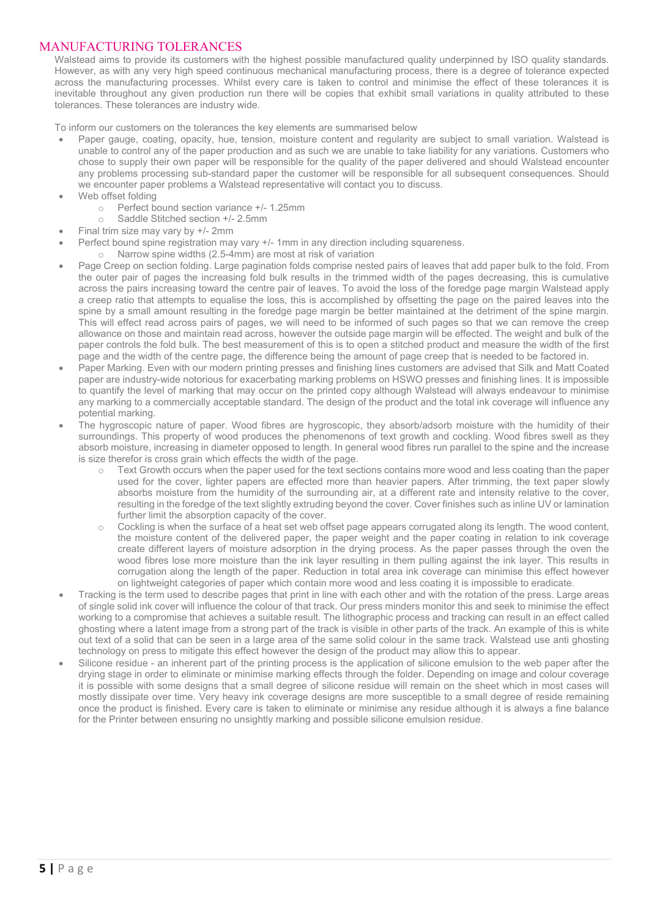# MANUFACTURING TOLERANCES

Walstead aims to provide its customers with the highest possible manufactured quality underpinned by ISO quality standards. However, as with any very high speed continuous mechanical manufacturing process, there is a degree of tolerance expected across the manufacturing processes. Whilst every care is taken to control and minimise the effect of these tolerances it is inevitable throughout any given production run there will be copies that exhibit small variations in quality attributed to these tolerances. These tolerances are industry wide.

To inform our customers on the tolerances the key elements are summarised below

- Paper gauge, coating, opacity, hue, tension, moisture content and regularity are subject to small variation. Walstead is unable to control any of the paper production and as such we are unable to take liability for any variations. Customers who chose to supply their own paper will be responsible for the quality of the paper delivered and should Walstead encounter any problems processing sub-standard paper the customer will be responsible for all subsequent consequences. Should we encounter paper problems a Walstead representative will contact you to discuss.
- Web offset folding
	- o Perfect bound section variance +/- 1.25mm<br>
	Saddle Stitched section +/- 2.5mm
	- Saddle Stitched section +/- 2.5mm
- Final trim size may vary by +/- 2mm
- Perfect bound spine registration may vary +/- 1mm in any direction including squareness.
	- o Narrow spine widths (2.5-4mm) are most at risk of variation
- Page Creep on section folding. Large pagination folds comprise nested pairs of leaves that add paper bulk to the fold. From the outer pair of pages the increasing fold bulk results in the trimmed width of the pages decreasing, this is cumulative across the pairs increasing toward the centre pair of leaves. To avoid the loss of the foredge page margin Walstead apply a creep ratio that attempts to equalise the loss, this is accomplished by offsetting the page on the paired leaves into the spine by a small amount resulting in the foredge page margin be better maintained at the detriment of the spine margin. This will effect read across pairs of pages, we will need to be informed of such pages so that we can remove the creep allowance on those and maintain read across, however the outside page margin will be effected. The weight and bulk of the paper controls the fold bulk. The best measurement of this is to open a stitched product and measure the width of the first page and the width of the centre page, the difference being the amount of page creep that is needed to be factored in.
- Paper Marking. Even with our modern printing presses and finishing lines customers are advised that Silk and Matt Coated paper are industry-wide notorious for exacerbating marking problems on HSWO presses and finishing lines. It is impossible to quantify the level of marking that may occur on the printed copy although Walstead will always endeavour to minimise any marking to a commercially acceptable standard. The design of the product and the total ink coverage will influence any potential marking.
- The hygroscopic nature of paper. Wood fibres are hygroscopic, they absorb/adsorb moisture with the humidity of their surroundings. This property of wood produces the phenomenons of text growth and cockling. Wood fibres swell as they absorb moisture, increasing in diameter opposed to length. In general wood fibres run parallel to the spine and the increase is size therefor is cross grain which effects the width of the page.
	- o Text Growth occurs when the paper used for the text sections contains more wood and less coating than the paper used for the cover, lighter papers are effected more than heavier papers. After trimming, the text paper slowly absorbs moisture from the humidity of the surrounding air, at a different rate and intensity relative to the cover, resulting in the foredge of the text slightly extruding beyond the cover. Cover finishes such as inline UV or lamination further limit the absorption capacity of the cover.
	- $\circ$  Cockling is when the surface of a heat set web offset page appears corrugated along its length. The wood content, the moisture content of the delivered paper, the paper weight and the paper coating in relation to ink coverage create different layers of moisture adsorption in the drying process. As the paper passes through the oven the wood fibres lose more moisture than the ink layer resulting in them pulling against the ink layer. This results in corrugation along the length of the paper. Reduction in total area ink coverage can minimise this effect however on lightweight categories of paper which contain more wood and less coating it is impossible to eradicate.
- Tracking is the term used to describe pages that print in line with each other and with the rotation of the press. Large areas of single solid ink cover will influence the colour of that track. Our press minders monitor this and seek to minimise the effect working to a compromise that achieves a suitable result. The lithographic process and tracking can result in an effect called ghosting where a latent image from a strong part of the track is visible in other parts of the track. An example of this is white out text of a solid that can be seen in a large area of the same solid colour in the same track. Walstead use anti ghosting technology on press to mitigate this effect however the design of the product may allow this to appear.
- Silicone residue an inherent part of the printing process is the application of silicone emulsion to the web paper after the drying stage in order to eliminate or minimise marking effects through the folder. Depending on image and colour coverage it is possible with some designs that a small degree of silicone residue will remain on the sheet which in most cases will mostly dissipate over time. Very heavy ink coverage designs are more susceptible to a small degree of reside remaining once the product is finished. Every care is taken to eliminate or minimise any residue although it is always a fine balance for the Printer between ensuring no unsightly marking and possible silicone emulsion residue.